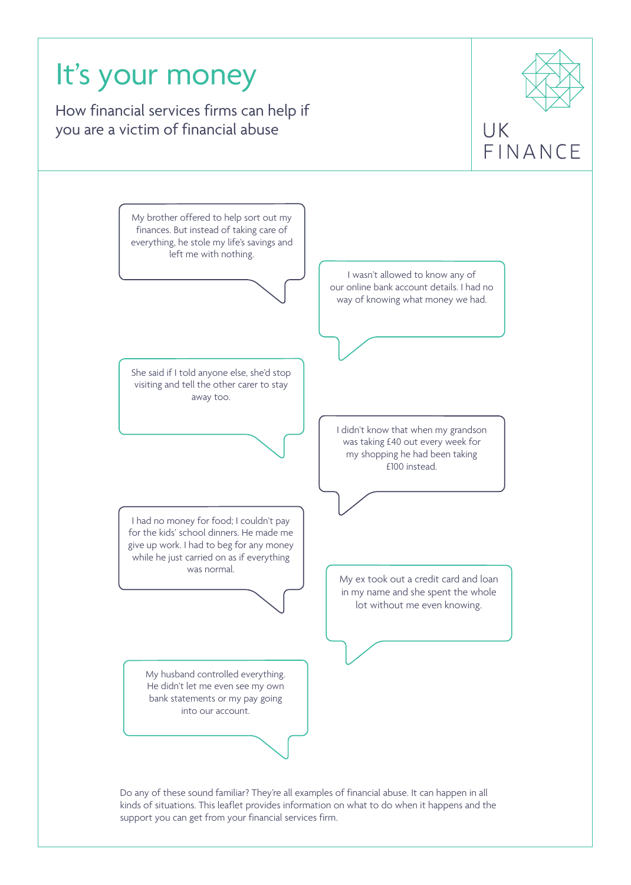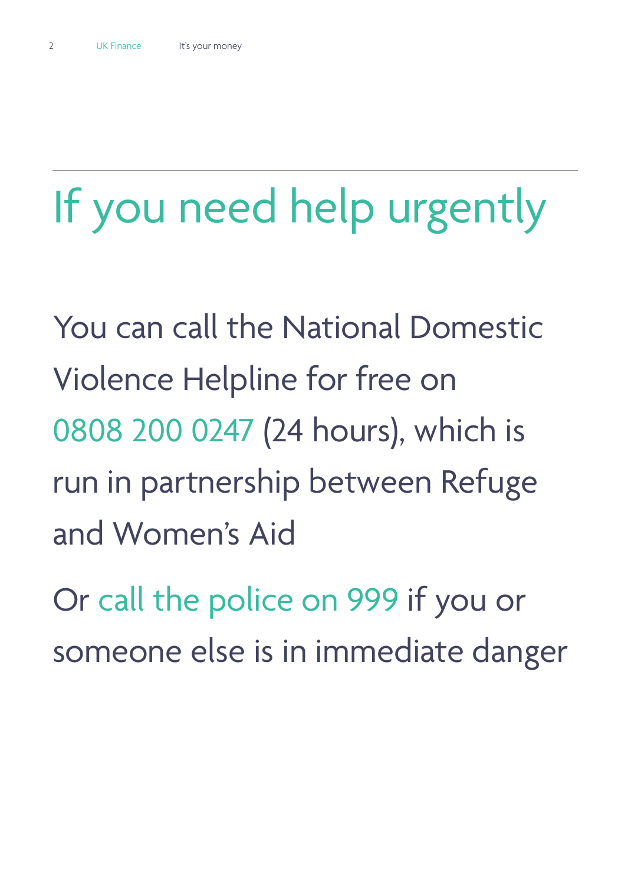# If you need help urgently

You can call the National Domestic Violence Helpline for free on 0808 200 0247 (24 hours), which is run in partnership between Refuge and Women's Aid

Or call the police on 999 if you or someone else is in immediate danger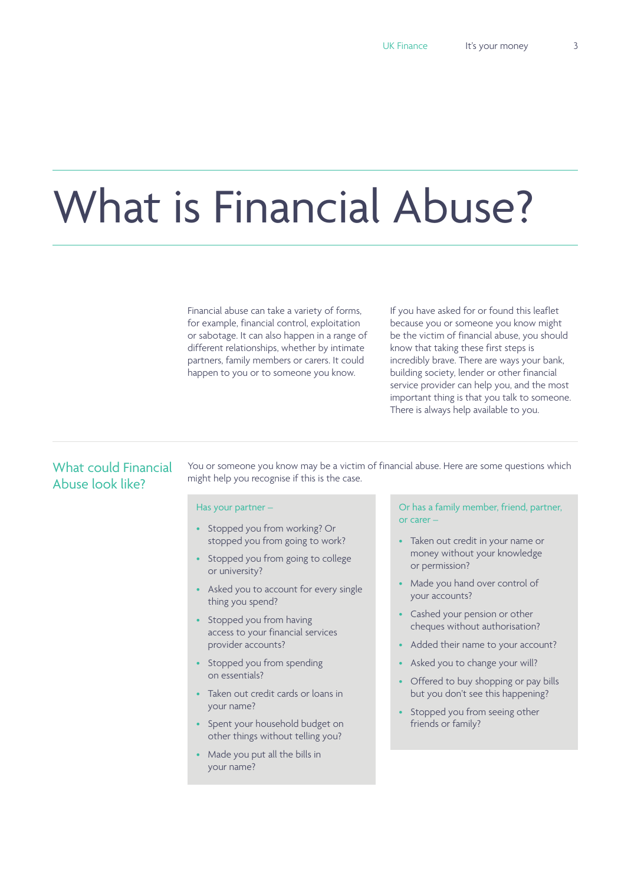# What is Financial Abuse?

Financial abuse can take a variety of forms, for example, financial control, exploitation or sabotage. It can also happen in a range of different relationships, whether by intimate partners, family members or carers. It could happen to you or to someone you know.

If you have asked for or found this leaflet because you or someone you know might be the victim of financial abuse, you should know that taking these first steps is incredibly brave. There are ways your bank, building society, lender or other financial service provider can help you, and the most important thing is that you talk to someone. There is always help available to you.

# What could Financial Abuse look like?

You or someone you know may be a victim of financial abuse. Here are some questions which might help you recognise if this is the case.

#### Has your partner –

- Stopped you from working? Or stopped you from going to work?
- Stopped you from going to college or university?
- Asked you to account for every single thing you spend?
- Stopped you from having access to your financial services provider accounts?
- Stopped you from spending on essentials?
- Taken out credit cards or loans in your name?
- Spent your household budget on other things without telling you?
- Made you put all the bills in your name?

Or has a family member, friend, partner, or carer –

- Taken out credit in your name or money without your knowledge or permission?
- Made you hand over control of your accounts?
- Cashed your pension or other cheques without authorisation?
- Added their name to your account?
- Asked you to change your will?
- Offered to buy shopping or pay bills but you don't see this happening?
- Stopped you from seeing other friends or family?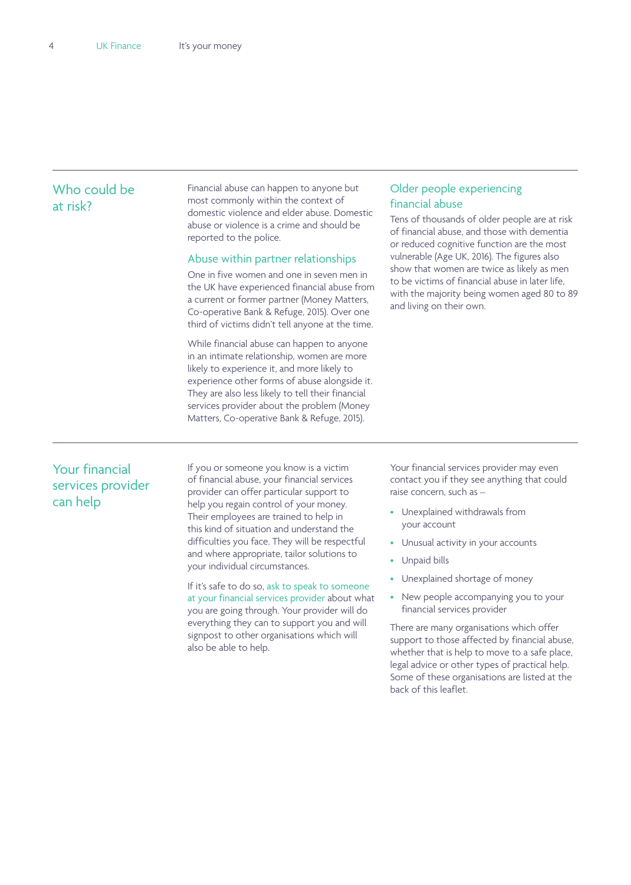# Who could be at risk?

Financial abuse can happen to anyone but most commonly within the context of domestic violence and elder abuse. Domestic abuse or violence is a crime and should be reported to the police.

#### Abuse within partner relationships

One in five women and one in seven men in the UK have experienced financial abuse from a current or former partner (Money Matters, Co-operative Bank & Refuge, 2015). Over one third of victims didn't tell anyone at the time.

While financial abuse can happen to anyone in an intimate relationship, women are more likely to experience it, and more likely to experience other forms of abuse alongside it. They are also less likely to tell their financial services provider about the problem (Money Matters, Co-operative Bank & Refuge, 2015).

## Older people experiencing financial abuse

Tens of thousands of older people are at risk of financial abuse, and those with dementia or reduced cognitive function are the most vulnerable (Age UK, 2016). The figures also show that women are twice as likely as men to be victims of financial abuse in later life, with the majority being women aged 80 to 89 and living on their own.

# Your financial services provider can help

If you or someone you know is a victim of financial abuse, your financial services provider can offer particular support to help you regain control of your money. Their employees are trained to help in this kind of situation and understand the difficulties you face. They will be respectful and where appropriate, tailor solutions to your individual circumstances.

If it's safe to do so, ask to speak to someone at your financial services provider about what you are going through. Your provider will do everything they can to support you and will signpost to other organisations which will also be able to help.

Your financial services provider may even contact you if they see anything that could raise concern, such as –

- Unexplained withdrawals from your account
- Unusual activity in your accounts
- Unpaid bills
- Unexplained shortage of money
- New people accompanying you to your financial services provider

There are many organisations which offer support to those affected by financial abuse, whether that is help to move to a safe place, legal advice or other types of practical help. Some of these organisations are listed at the back of this leaflet.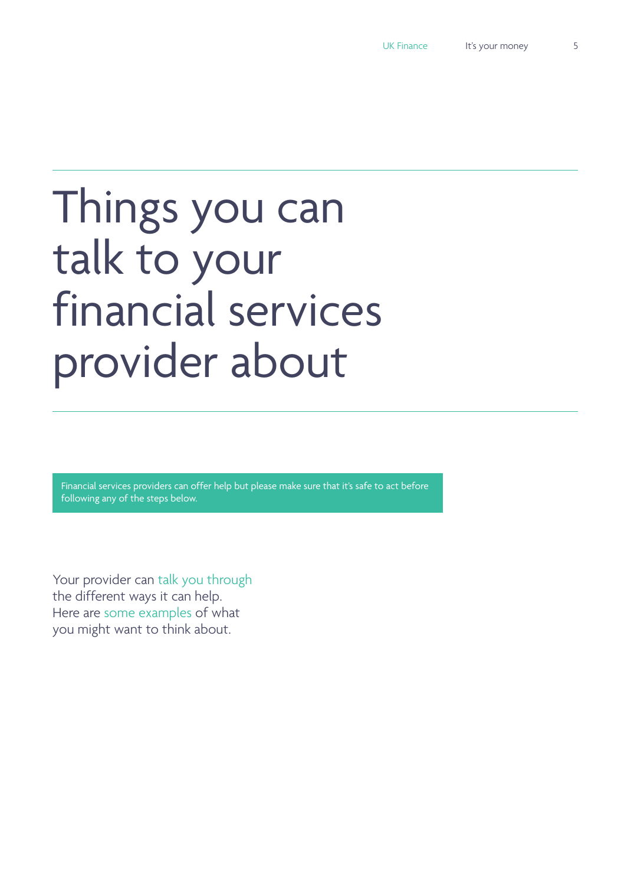# Things you can talk to your financial services provider about

Financial services providers can offer help but please make sure that it's safe to act before following any of the steps below.

Your provider can talk you through the different ways it can help. Here are some examples of what you might want to think about.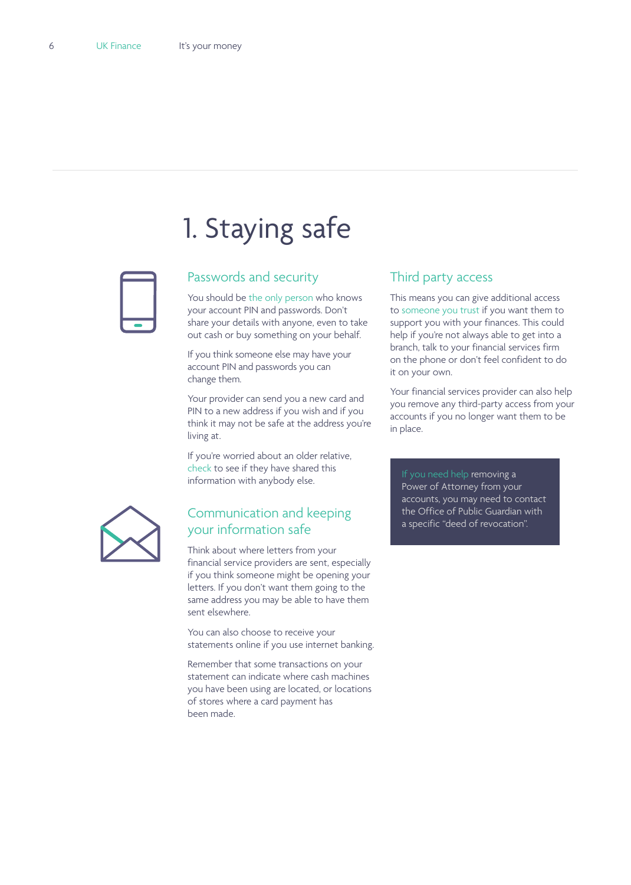# 1. Staying safe



# Passwords and security

You should be the only person who knows your account PIN and passwords. Don't share your details with anyone, even to take out cash or buy something on your behalf.

If you think someone else may have your account PIN and passwords you can change them.

Your provider can send you a new card and PIN to a new address if you wish and if you think it may not be safe at the address you're living at.

If you're worried about an older relative, check to see if they have shared this information with anybody else.



# Communication and keeping your information safe

Think about where letters from your financial service providers are sent, especially if you think someone might be opening your letters. If you don't want them going to the same address you may be able to have them sent elsewhere.

You can also choose to receive your statements online if you use internet banking.

Remember that some transactions on your statement can indicate where cash machines you have been using are located, or locations of stores where a card payment has been made.

# Third party access

This means you can give additional access to someone you trust if you want them to support you with your finances. This could help if you're not always able to get into a branch, talk to your financial services firm on the phone or don't feel confident to do it on your own.

Your financial services provider can also help you remove any third-party access from your accounts if you no longer want them to be in place.

If you need help removing a Power of Attorney from your accounts, you may need to contact the Office of Public Guardian with a specific "deed of revocation".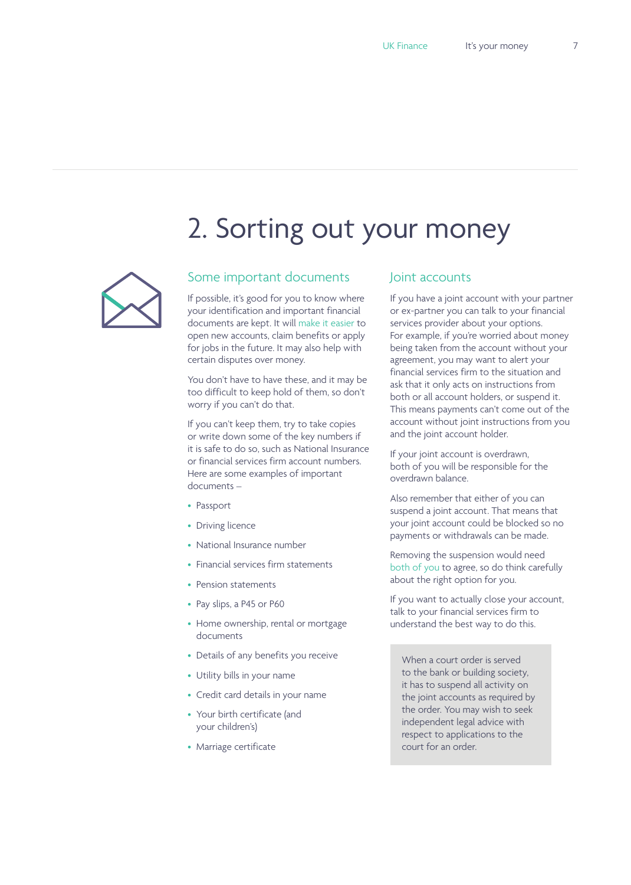# 2. Sorting out your money



# Some important documents

If possible, it's good for you to know where your identification and important financial documents are kept. It will make it easier to open new accounts, claim benefits or apply for jobs in the future. It may also help with certain disputes over money.

You don't have to have these, and it may be too difficult to keep hold of them, so don't worry if you can't do that.

If you can't keep them, try to take copies or write down some of the key numbers if it is safe to do so, such as National Insurance or financial services firm account numbers. Here are some examples of important documents –

- Passport
- Driving licence
- National Insurance number
- Financial services firm statements
- Pension statements
- Pay slips, a P45 or P60
- Home ownership, rental or mortgage documents
- Details of any benefits you receive
- Utility bills in your name
- Credit card details in your name
- Your birth certificate (and your children's)
- Marriage certificate

## Joint accounts

If you have a joint account with your partner or ex-partner you can talk to your financial services provider about your options. For example, if you're worried about money being taken from the account without your agreement, you may want to alert your financial services firm to the situation and ask that it only acts on instructions from both or all account holders, or suspend it. This means payments can't come out of the account without joint instructions from you and the joint account holder.

If your joint account is overdrawn, both of you will be responsible for the overdrawn balance.

Also remember that either of you can suspend a joint account. That means that your joint account could be blocked so no payments or withdrawals can be made.

Removing the suspension would need both of you to agree, so do think carefully about the right option for you.

If you want to actually close your account, talk to your financial services firm to understand the best way to do this.

When a court order is served to the bank or building society, it has to suspend all activity on the joint accounts as required by the order. You may wish to seek independent legal advice with respect to applications to the court for an order.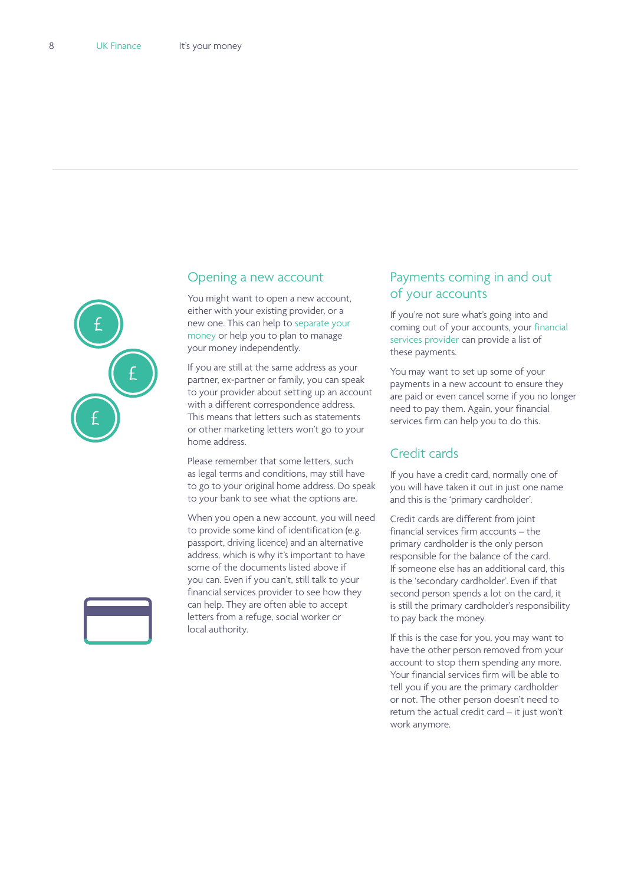

#### Opening a new account

You might want to open a new account, either with your existing provider, or a new one. This can help to separate your money or help you to plan to manage your money independently.

If you are still at the same address as your partner, ex-partner or family, you can speak to your provider about setting up an account with a different correspondence address. This means that letters such as statements or other marketing letters won't go to your home address.

Please remember that some letters, such as legal terms and conditions, may still have to go to your original home address. Do speak to your bank to see what the options are.

When you open a new account, you will need to provide some kind of identification (e.g. passport, driving licence) and an alternative address, which is why it's important to have some of the documents listed above if you can. Even if you can't, still talk to your financial services provider to see how they can help. They are often able to accept letters from a refuge, social worker or local authority.

# Payments coming in and out of your accounts

If you're not sure what's going into and coming out of your accounts, your financial services provider can provide a list of these payments.

You may want to set up some of your payments in a new account to ensure they are paid or even cancel some if you no longer need to pay them. Again, your financial services firm can help you to do this.

# Credit cards

If you have a credit card, normally one of you will have taken it out in just one name and this is the 'primary cardholder'.

Credit cards are different from joint financial services firm accounts – the primary cardholder is the only person responsible for the balance of the card. If someone else has an additional card, this is the 'secondary cardholder'. Even if that second person spends a lot on the card, it is still the primary cardholder's responsibility to pay back the money.

If this is the case for you, you may want to have the other person removed from your account to stop them spending any more. Your financial services firm will be able to tell you if you are the primary cardholder or not. The other person doesn't need to return the actual credit card – it just won't work anymore.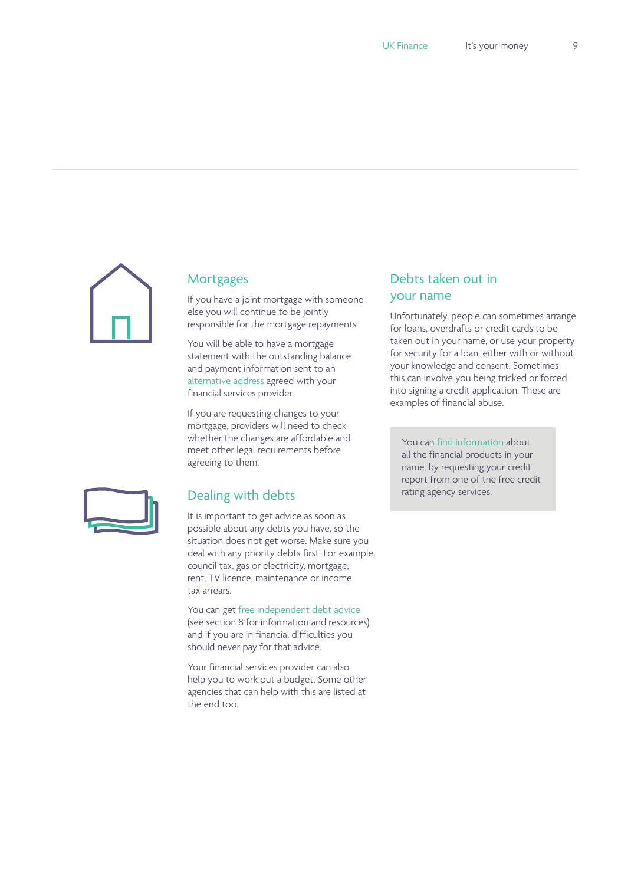

# **Mortgages**

If you have a joint mortgage with someone else you will continue to be jointly responsible for the mortgage repayments.

You will be able to have a mortgage statement with the outstanding balance and payment information sent to an alternative address agreed with your financial services provider.

If you are requesting changes to your mortgage, providers will need to check whether the changes are affordable and meet other legal requirements before agreeing to them.



# Dealing with debts

It is important to get advice as soon as possible about any debts you have, so the situation does not get worse. Make sure you deal with any priority debts first. For example, council tax, gas or electricity, mortgage, rent, TV licence, maintenance or income tax arrears.

You can get free independent debt advice (see section 8 for information and resources) and if you are in financial difficulties you should never pay for that advice.

Your financial services provider can also help you to work out a budget. Some other agencies that can help with this are listed at the end too.

# Debts taken out in your name

Unfortunately, people can sometimes arrange for loans, overdrafts or credit cards to be taken out in your name, or use your property for security for a loan, either with or without your knowledge and consent. Sometimes this can involve you being tricked or forced into signing a credit application. These are examples of financial abuse.

You can find information about all the financial products in your name, by requesting your credit report from one of the free credit rating agency services.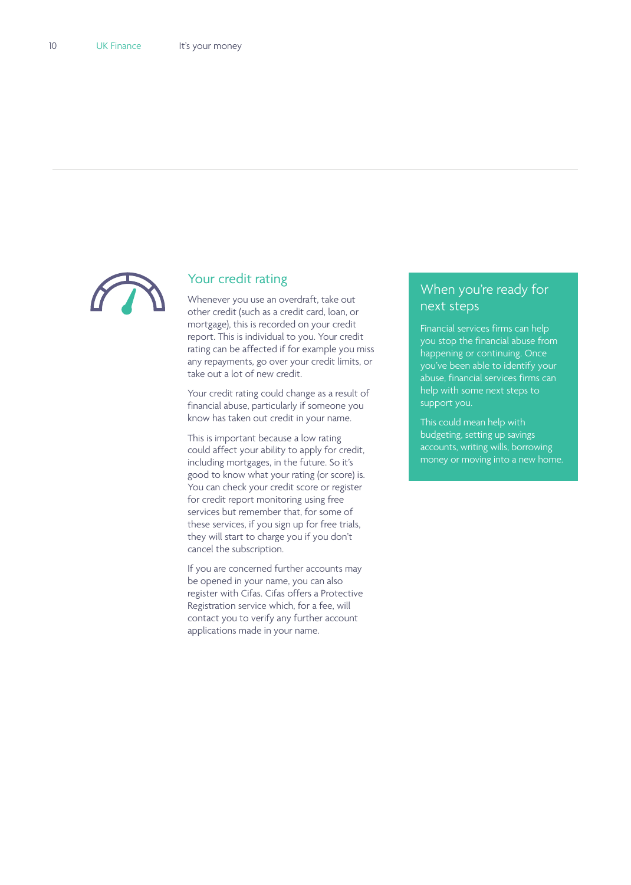

# Your credit rating

Whenever you use an overdraft, take out other credit (such as a credit card, loan, or mortgage), this is recorded on your credit report. This is individual to you. Your credit rating can be affected if for example you miss any repayments, go over your credit limits, or take out a lot of new credit.

Your credit rating could change as a result of financial abuse, particularly if someone you know has taken out credit in your name.

This is important because a low rating could affect your ability to apply for credit, including mortgages, in the future. So it's good to know what your rating (or score) is. You can check your credit score or register for credit report monitoring using free services but remember that, for some of these services, if you sign up for free trials, they will start to charge you if you don't cancel the subscription.

If you are concerned further accounts may be opened in your name, you can also register with Cifas. Cifas offers a Protective Registration service which, for a fee, will contact you to verify any further account applications made in your name.

# When you're ready for next steps

Financial services firms can help you stop the financial abuse from happening or continuing. Once you've been able to identify your abuse, financial services firms can help with some next steps to support you.

This could mean help with budgeting, setting up savings accounts, writing wills, borrowing money or moving into a new home.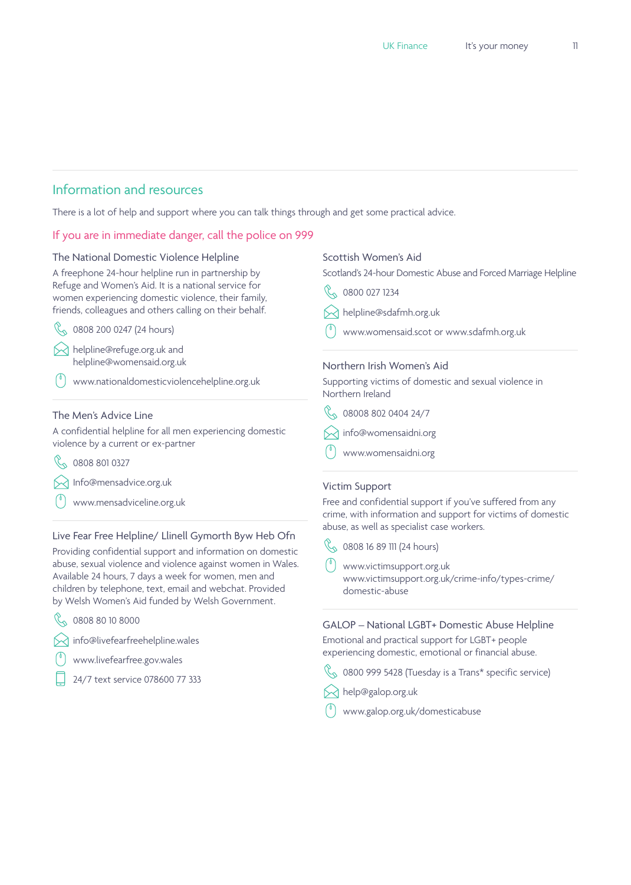# Information and resources

There is a lot of help and support where you can talk things through and get some practical advice.

# If you are in immediate danger, call the police on 999

#### The National Domestic Violence Helpline

A freephone 24-hour helpline run in partnership by Refuge and Women's Aid. It is a national service for women experiencing domestic violence, their family, friends, colleagues and others calling on their behalf.

 $\%$  0808 200 0247 (24 hours)

[helpline@refuge.org.uk](mailto:helpline%40refuge.org.uk?subject=) and [helpline@womensaid.org.uk](mailto:helpline%40womensaid.org.uk?subject=)

[www.nationaldomesticviolencehelpline.org.uk](http://www.nationaldomesticviolencehelpline.org.uk/)

## The Men's Advice Line

A confidential helpline for all men experiencing domestic violence by a current or ex-partner

 $\%$  0808 801 0327

**[Info@mensadvice.org.uk](mailto:Info%40mensadvice.org.uk?subject=)** 

[www.mensadviceline.org.uk](http://www.mensadviceline.org.uk/) 

# Live Fear Free Helpline/ Llinell Gymorth Byw Heb Ofn

Providing confidential support and information on domestic abuse, sexual violence and violence against women in Wales. Available 24 hours, 7 days a week for women, men and children by telephone, text, email and webchat. Provided by Welsh Women's Aid funded by Welsh Government.

R 0808 80 10 8000

[info@livefearfreehelpline.wales](mailto:info%40livefearfreehelpline.wales?subject=)

- www.livefearfree.gov.wales
- 24/7 text service 078600 77 333

#### Scottish Women's Aid

Scotland's 24-hour Domestic Abuse and Forced Marriage Helpline

- 800 027 1234
- $\bowtie$  [helpline@sdafmh.org.uk](mailto:helpline%40sdafmh.org.uk?subject=)
- [www.womensaid.scot](https://womensaid.scot/) or [www.sdafmh.org.uk](http://sdafmh.org.uk/)

### Northern Irish Women's Aid

Supporting victims of domestic and sexual violence in Northern Ireland

- $\%$  08008 802 0404 24/7
- $\bowtie$  [info@womensaidni.org](mailto:info%40womensaidni.org?subject=)
- [www.womensaidni.org](https://www.womensaidni.org/)

#### Victim Support

Free and confidential support if you've suffered from any crime, with information and support for victims of domestic abuse, as well as specialist case workers.

C<sub>0</sub> 0808 16 89 111 (24 hours)

[www.victimsupport.org.uk](https://www.victimsupport.org.uk/) [www.victimsupport.org.uk/crime-info/types-crime/](https://www.victimsupport.org.uk/crime-info/types-crime/domestic-abuse) [domestic-abuse](https://www.victimsupport.org.uk/crime-info/types-crime/domestic-abuse) 

GALOP – National LGBT+ Domestic Abuse Helpline Emotional and practical support for LGBT+ people experiencing domestic, emotional or financial abuse.

- $\%$  0800 999 5428 (Tuesday is a Trans\* specific service)
- $\bowtie$  help@galop.org.uk
- [www.galop.org.uk/domesticabuse](http://www.galop.org.uk/domesticabuse/)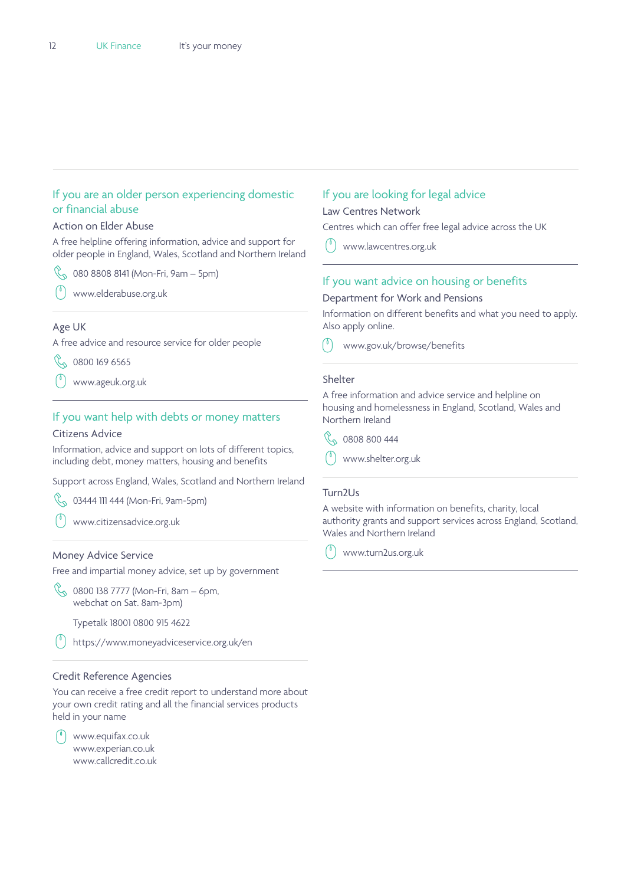# If you are an older person experiencing domestic or financial abuse

#### Action on Elder Abuse

A free helpline offering information, advice and support for older people in England, Wales, Scotland and Northern Ireland

- $\%$  080 8808 8141 (Mon-Fri, 9am 5pm)
- [www.elderabuse.org.uk](https://www.elderabuse.org.uk/)

#### Age UK

A free advice and resource service for older people

 $\%$  0800 169 6565

[www.ageuk.org.uk](https://www.ageuk.org.uk/)

## If you want help with debts or money matters

#### Citizens Advice

Information, advice and support on lots of different topics, including debt, money matters, housing and benefits

Support across England, Wales, Scotland and Northern Ireland

 $\%$  03444 111 444 (Mon-Fri, 9am-5pm)

[www.citizensadvice.org.uk](https://www.citizensadvice.org.uk/) 

#### Money Advice Service

Free and impartial money advice, set up by government

 $\%$  0800 138 7777 (Mon-Fri, 8am – 6pm, webchat on Sat. 8am-3pm)

Typetalk 18001 0800 915 4622

<https://www.moneyadviceservice.org.uk/en>

#### Credit Reference Agencies

You can receive a free credit report to understand more about your own credit rating and all the financial services products held in your name

[www.equifax.co.uk](https://www.equifax.co.uk/) [www.experian.co.uk](https://www.experian.co.uk/) [www.callcredit.co.uk](https://www.callcredit.co.uk/)

## If you are looking for legal advice

#### Law Centres Network

Centres which can offer free legal advice across the UK

[www.lawcentres.org.uk](http://www.lawcentres.org.uk/) 

#### If you want advice on housing or benefits

#### Department for Work and Pensions

Information on different benefits and what you need to apply. Also apply online.

[www.gov.uk/browse/benefits](https://www.gov.uk/browse/benefits)

#### Shelter

A free information and advice service and helpline on housing and homelessness in England, Scotland, Wales and Northern Ireland



[www.shelter.org.uk](https://www.shelter.org.uk/)

#### Turn2Us

A website with information on benefits, charity, local authority grants and support services across England, Scotland, Wales and Northern Ireland

[www.turn2us.org.uk](https://www.turn2us.org.uk/)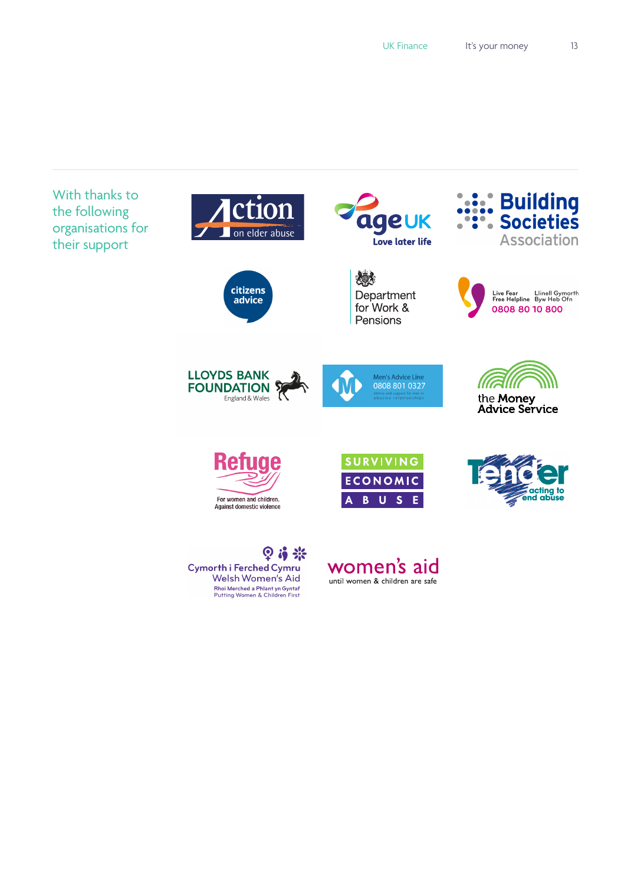